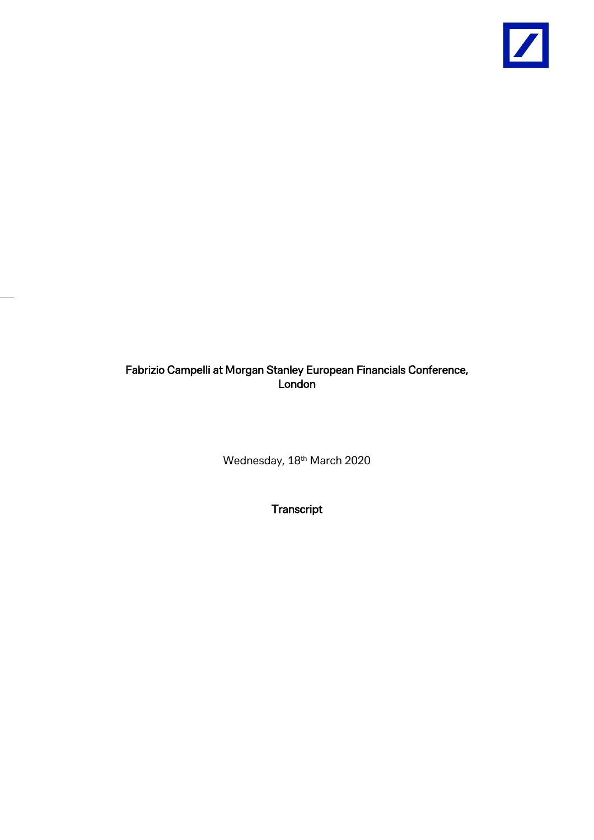

## Fabrizio Campelli at Morgan Stanley European Financials Conference, London

Wednesday, 18th March 2020

**Transcript**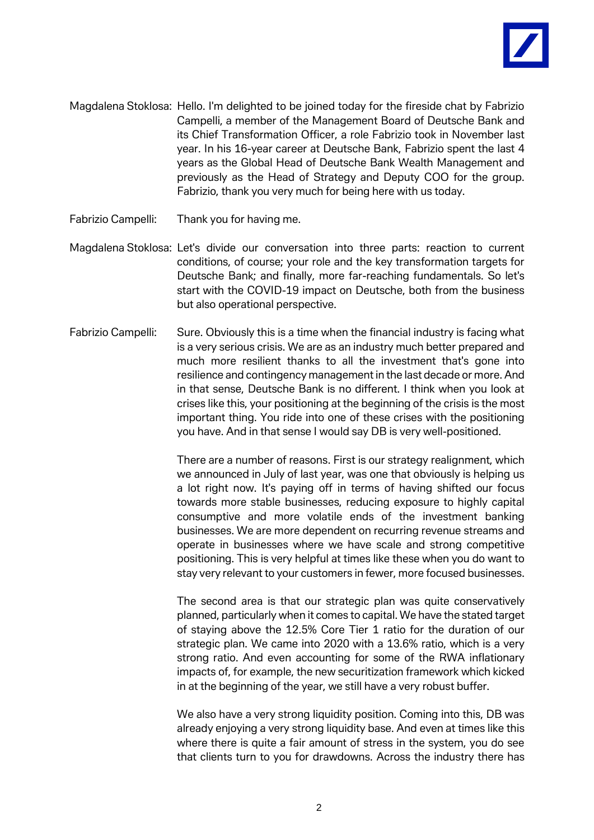

- Magdalena Stoklosa: Hello. I'm delighted to be joined today for the fireside chat by Fabrizio Campelli, a member of the Management Board of Deutsche Bank and its Chief Transformation Officer, a role Fabrizio took in November last year. In his 16-year career at Deutsche Bank, Fabrizio spent the last 4 years as the Global Head of Deutsche Bank Wealth Management and previously as the Head of Strategy and Deputy COO for the group. Fabrizio, thank you very much for being here with us today.
- Fabrizio Campelli: Thank you for having me.
- Magdalena Stoklosa: Let's divide our conversation into three parts: reaction to current conditions, of course; your role and the key transformation targets for Deutsche Bank; and finally, more far-reaching fundamentals. So let's start with the COVID-19 impact on Deutsche, both from the business but also operational perspective.
- Fabrizio Campelli: Sure. Obviously this is a time when the financial industry is facing what is a very serious crisis. We are as an industry much better prepared and much more resilient thanks to all the investment that's gone into resilience and contingency management in the last decade or more. And in that sense, Deutsche Bank is no different. I think when you look at crises like this, your positioning at the beginning of the crisis is the most important thing. You ride into one of these crises with the positioning you have. And in that sense I would say DB is very well-positioned.

There are a number of reasons. First is our strategy realignment, which we announced in July of last year, was one that obviously is helping us a lot right now. It's paying off in terms of having shifted our focus towards more stable businesses, reducing exposure to highly capital consumptive and more volatile ends of the investment banking businesses. We are more dependent on recurring revenue streams and operate in businesses where we have scale and strong competitive positioning. This is very helpful at times like these when you do want to stay very relevant to your customers in fewer, more focused businesses.

The second area is that our strategic plan was quite conservatively planned, particularly when it comes to capital. We have the stated target of staying above the 12.5% Core Tier 1 ratio for the duration of our strategic plan. We came into 2020 with a 13.6% ratio, which is a very strong ratio. And even accounting for some of the RWA inflationary impacts of, for example, the new securitization framework which kicked in at the beginning of the year, we still have a very robust buffer.

We also have a very strong liquidity position. Coming into this, DB was already enjoying a very strong liquidity base. And even at times like this where there is quite a fair amount of stress in the system, you do see that clients turn to you for drawdowns. Across the industry there has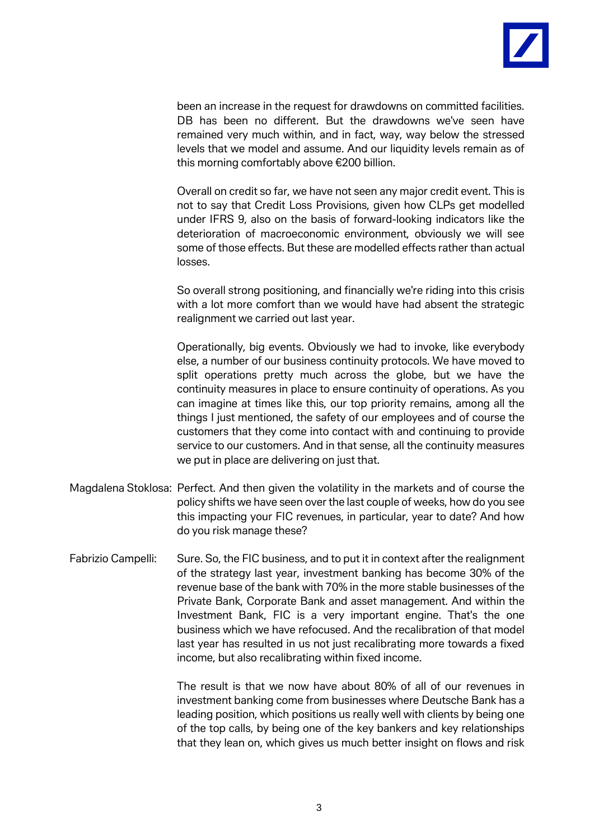

been an increase in the request for drawdowns on committed facilities. DB has been no different. But the drawdowns we've seen have remained very much within, and in fact, way, way below the stressed levels that we model and assume. And our liquidity levels remain as of this morning comfortably above €200 billion.

Overall on credit so far, we have not seen any major credit event. This is not to say that Credit Loss Provisions, given how CLPs get modelled under IFRS 9, also on the basis of forward-looking indicators like the deterioration of macroeconomic environment, obviously we will see some of those effects. But these are modelled effects rather than actual losses.

So overall strong positioning, and financially we're riding into this crisis with a lot more comfort than we would have had absent the strategic realignment we carried out last year.

Operationally, big events. Obviously we had to invoke, like everybody else, a number of our business continuity protocols. We have moved to split operations pretty much across the globe, but we have the continuity measures in place to ensure continuity of operations. As you can imagine at times like this, our top priority remains, among all the things I just mentioned, the safety of our employees and of course the customers that they come into contact with and continuing to provide service to our customers. And in that sense, all the continuity measures we put in place are delivering on just that.

- Magdalena Stoklosa: Perfect. And then given the volatility in the markets and of course the policy shifts we have seen over the last couple of weeks, how do you see this impacting your FIC revenues, in particular, year to date? And how do you risk manage these?
- Fabrizio Campelli: Sure. So, the FIC business, and to put it in context after the realignment of the strategy last year, investment banking has become 30% of the revenue base of the bank with 70% in the more stable businesses of the Private Bank, Corporate Bank and asset management. And within the Investment Bank, FIC is a very important engine. That's the one business which we have refocused. And the recalibration of that model last year has resulted in us not just recalibrating more towards a fixed income, but also recalibrating within fixed income.

The result is that we now have about 80% of all of our revenues in investment banking come from businesses where Deutsche Bank has a leading position, which positions us really well with clients by being one of the top calls, by being one of the key bankers and key relationships that they lean on, which gives us much better insight on flows and risk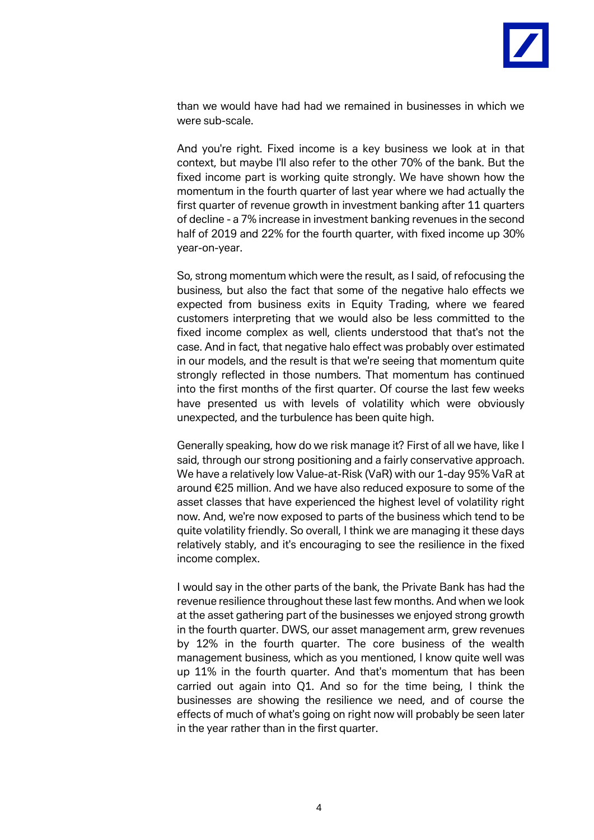

than we would have had had we remained in businesses in which we were sub-scale.

And you're right. Fixed income is a key business we look at in that context, but maybe I'll also refer to the other 70% of the bank. But the fixed income part is working quite strongly. We have shown how the momentum in the fourth quarter of last year where we had actually the first quarter of revenue growth in investment banking after 11 quarters of decline - a 7% increase in investment banking revenues in the second half of 2019 and 22% for the fourth quarter, with fixed income up 30% year-on-year.

So, strong momentum which were the result, as I said, of refocusing the business, but also the fact that some of the negative halo effects we expected from business exits in Equity Trading, where we feared customers interpreting that we would also be less committed to the fixed income complex as well, clients understood that that's not the case. And in fact, that negative halo effect was probably over estimated in our models, and the result is that we're seeing that momentum quite strongly reflected in those numbers. That momentum has continued into the first months of the first quarter. Of course the last few weeks have presented us with levels of volatility which were obviously unexpected, and the turbulence has been quite high.

Generally speaking, how do we risk manage it? First of all we have, like I said, through our strong positioning and a fairly conservative approach. We have a relatively low Value-at-Risk (VaR) with our 1-day 95% VaR at around €25 million. And we have also reduced exposure to some of the asset classes that have experienced the highest level of volatility right now. And, we're now exposed to parts of the business which tend to be quite volatility friendly. So overall, I think we are managing it these days relatively stably, and it's encouraging to see the resilience in the fixed income complex.

I would say in the other parts of the bank, the Private Bank has had the revenue resilience throughout these last few months. And when we look at the asset gathering part of the businesses we enjoyed strong growth in the fourth quarter. DWS, our asset management arm, grew revenues by 12% in the fourth quarter. The core business of the wealth management business, which as you mentioned, I know quite well was up 11% in the fourth quarter. And that's momentum that has been carried out again into Q1. And so for the time being, I think the businesses are showing the resilience we need, and of course the effects of much of what's going on right now will probably be seen later in the year rather than in the first quarter.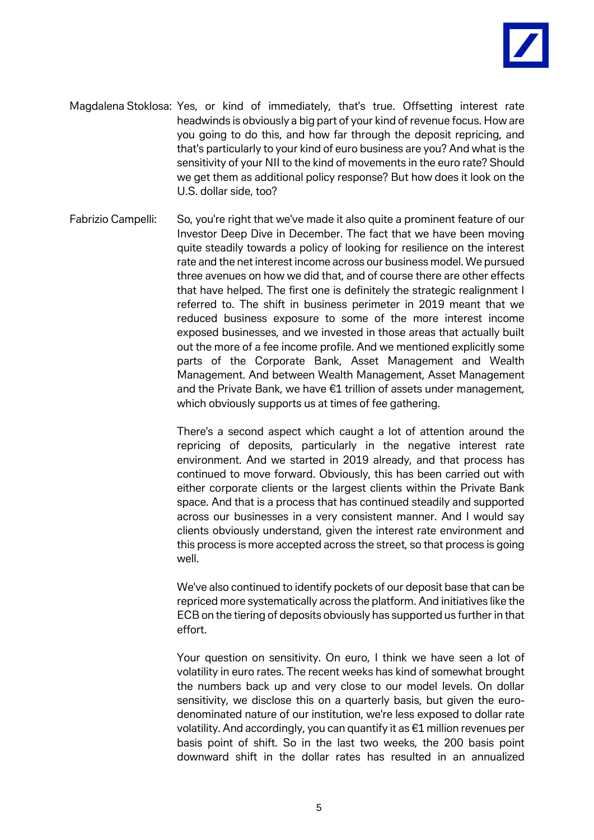

- Magdalena Stoklosa: Yes, or kind of immediately, that's true. Offsetting interest rate headwinds is obviously a big part of your kind of revenue focus. How are you going to do this, and how far through the deposit repricing, and that's particularly to your kind of euro business are you? And what is the sensitivity of your NII to the kind of movements in the euro rate? Should we get them as additional policy response? But how does it look on the U.S. dollar side, too?
- Fabrizio Campelli: So, you're right that we've made it also quite a prominent feature of our Investor Deep Dive in December. The fact that we have been moving quite steadily towards a policy of looking for resilience on the interest rate and the net interest income across our business model. We pursued three avenues on how we did that, and of course there are other effects that have helped. The first one is definitely the strategic realignment I referred to. The shift in business perimeter in 2019 meant that we reduced business exposure to some of the more interest income exposed businesses, and we invested in those areas that actually built out the more of a fee income profile. And we mentioned explicitly some parts of the Corporate Bank, Asset Management and Wealth Management. And between Wealth Management, Asset Management and the Private Bank, we have €1 trillion of assets under management, which obviously supports us at times of fee gathering.

There's a second aspect which caught a lot of attention around the repricing of deposits, particularly in the negative interest rate environment. And we started in 2019 already, and that process has continued to move forward. Obviously, this has been carried out with either corporate clients or the largest clients within the Private Bank space. And that is a process that has continued steadily and supported across our businesses in a very consistent manner. And I would say clients obviously understand, given the interest rate environment and this process is more accepted across the street, so that process is going well.

We've also continued to identify pockets of our deposit base that can be repriced more systematically across the platform. And initiatives like the ECB on the tiering of deposits obviously has supported us further in that effort.

Your question on sensitivity. On euro, I think we have seen a lot of volatility in euro rates. The recent weeks has kind of somewhat brought the numbers back up and very close to our model levels. On dollar sensitivity, we disclose this on a quarterly basis, but given the eurodenominated nature of our institution, we're less exposed to dollar rate volatility. And accordingly, you can quantify it as €1 million revenues per basis point of shift. So in the last two weeks, the 200 basis point downward shift in the dollar rates has resulted in an annualized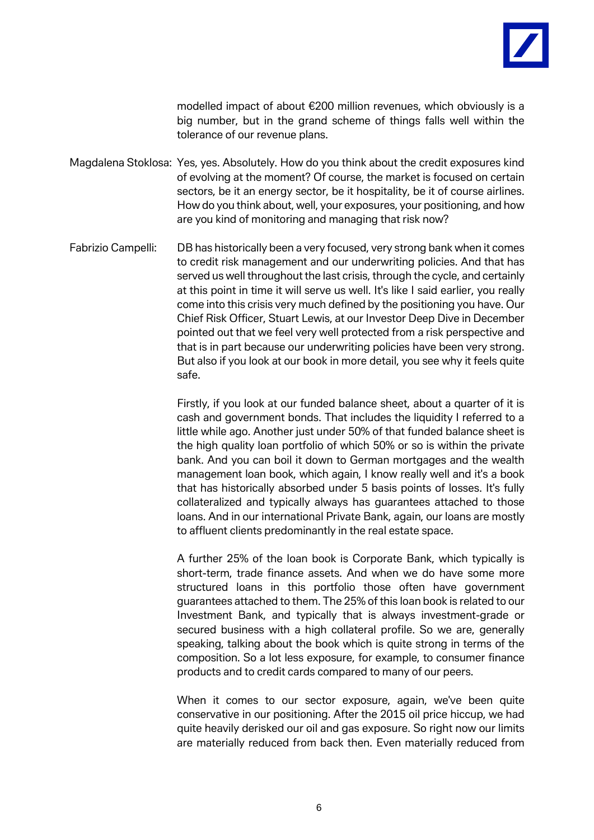

modelled impact of about €200 million revenues, which obviously is a big number, but in the grand scheme of things falls well within the tolerance of our revenue plans.

Magdalena Stoklosa: Yes, yes. Absolutely. How do you think about the credit exposures kind of evolving at the moment? Of course, the market is focused on certain sectors, be it an energy sector, be it hospitality, be it of course airlines. How do you think about, well, your exposures, your positioning, and how are you kind of monitoring and managing that risk now?

Fabrizio Campelli: DB has historically been a very focused, very strong bank when it comes to credit risk management and our underwriting policies. And that has served us well throughout the last crisis, through the cycle, and certainly at this point in time it will serve us well. It's like I said earlier, you really come into this crisis very much defined by the positioning you have. Our Chief Risk Officer, Stuart Lewis, at our Investor Deep Dive in December pointed out that we feel very well protected from a risk perspective and that is in part because our underwriting policies have been very strong. But also if you look at our book in more detail, you see why it feels quite safe.

> Firstly, if you look at our funded balance sheet, about a quarter of it is cash and government bonds. That includes the liquidity I referred to a little while ago. Another just under 50% of that funded balance sheet is the high quality loan portfolio of which 50% or so is within the private bank. And you can boil it down to German mortgages and the wealth management loan book, which again, I know really well and it's a book that has historically absorbed under 5 basis points of losses. It's fully collateralized and typically always has guarantees attached to those loans. And in our international Private Bank, again, our loans are mostly to affluent clients predominantly in the real estate space.

> A further 25% of the loan book is Corporate Bank, which typically is short-term, trade finance assets. And when we do have some more structured loans in this portfolio those often have government guarantees attached to them. The 25% of this loan book is related to our Investment Bank, and typically that is always investment-grade or secured business with a high collateral profile. So we are, generally speaking, talking about the book which is quite strong in terms of the composition. So a lot less exposure, for example, to consumer finance products and to credit cards compared to many of our peers.

> When it comes to our sector exposure, again, we've been quite conservative in our positioning. After the 2015 oil price hiccup, we had quite heavily derisked our oil and gas exposure. So right now our limits are materially reduced from back then. Even materially reduced from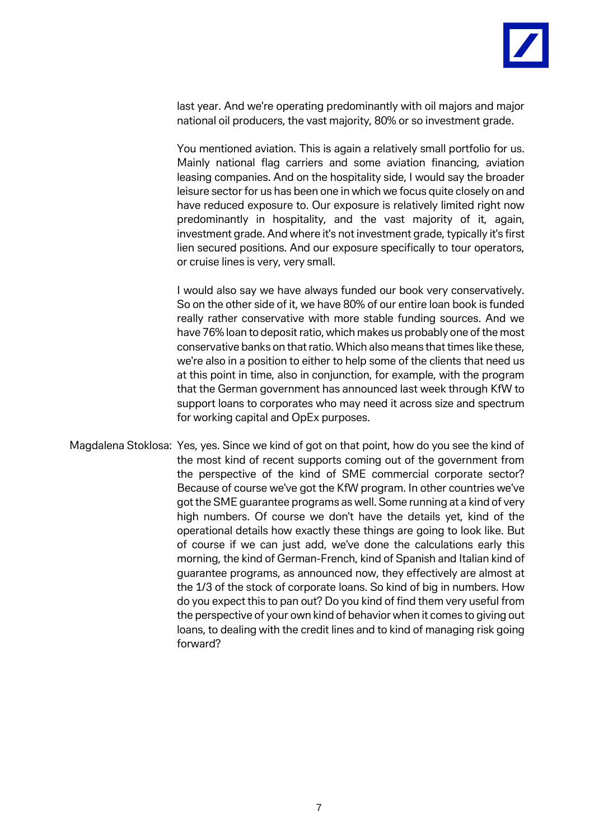

last year. And we're operating predominantly with oil majors and major national oil producers, the vast majority, 80% or so investment grade.

You mentioned aviation. This is again a relatively small portfolio for us. Mainly national flag carriers and some aviation financing, aviation leasing companies. And on the hospitality side, I would say the broader leisure sector for us has been one in which we focus quite closely on and have reduced exposure to. Our exposure is relatively limited right now predominantly in hospitality, and the vast majority of it, again, investment grade. And where it's not investment grade, typically it's first lien secured positions. And our exposure specifically to tour operators, or cruise lines is very, very small.

I would also say we have always funded our book very conservatively. So on the other side of it, we have 80% of our entire loan book is funded really rather conservative with more stable funding sources. And we have 76% loan to deposit ratio, which makes us probably one of the most conservative banks on that ratio. Which also means that times like these, we're also in a position to either to help some of the clients that need us at this point in time, also in conjunction, for example, with the program that the German government has announced last week through KfW to support loans to corporates who may need it across size and spectrum for working capital and OpEx purposes.

Magdalena Stoklosa: Yes, yes. Since we kind of got on that point, how do you see the kind of the most kind of recent supports coming out of the government from the perspective of the kind of SME commercial corporate sector? Because of course we've got the KfW program. In other countries we've got the SME guarantee programs as well. Some running at a kind of very high numbers. Of course we don't have the details yet, kind of the operational details how exactly these things are going to look like. But of course if we can just add, we've done the calculations early this morning, the kind of German-French, kind of Spanish and Italian kind of guarantee programs, as announced now, they effectively are almost at the 1/3 of the stock of corporate loans. So kind of big in numbers. How do you expect this to pan out? Do you kind of find them very useful from the perspective of your own kind of behavior when it comes to giving out loans, to dealing with the credit lines and to kind of managing risk going forward?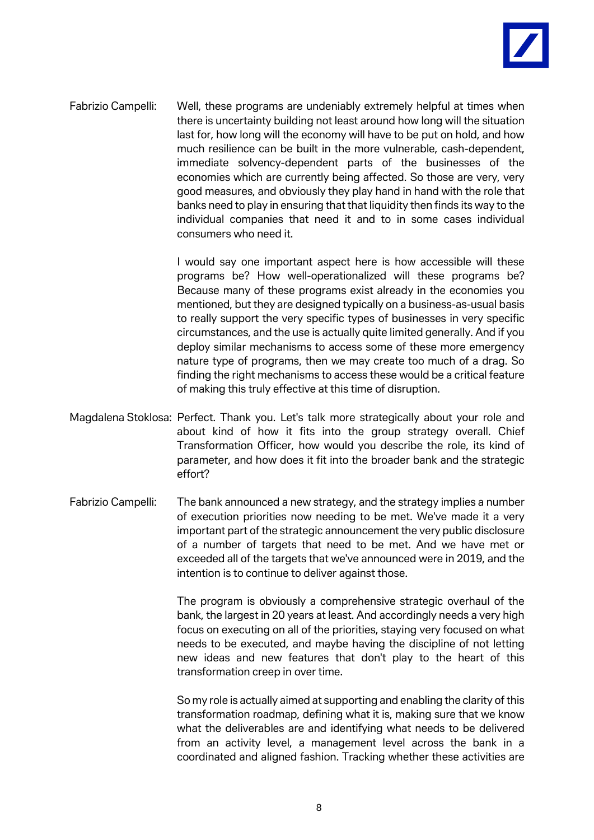

Fabrizio Campelli: Well, these programs are undeniably extremely helpful at times when there is uncertainty building not least around how long will the situation last for, how long will the economy will have to be put on hold, and how much resilience can be built in the more vulnerable, cash-dependent, immediate solvency-dependent parts of the businesses of the economies which are currently being affected. So those are very, very good measures, and obviously they play hand in hand with the role that banks need to play in ensuring that that liquidity then finds its way to the individual companies that need it and to in some cases individual consumers who need it.

> I would say one important aspect here is how accessible will these programs be? How well-operationalized will these programs be? Because many of these programs exist already in the economies you mentioned, but they are designed typically on a business-as-usual basis to really support the very specific types of businesses in very specific circumstances, and the use is actually quite limited generally. And if you deploy similar mechanisms to access some of these more emergency nature type of programs, then we may create too much of a drag. So finding the right mechanisms to access these would be a critical feature of making this truly effective at this time of disruption.

- Magdalena Stoklosa: Perfect. Thank you. Let's talk more strategically about your role and about kind of how it fits into the group strategy overall. Chief Transformation Officer, how would you describe the role, its kind of parameter, and how does it fit into the broader bank and the strategic effort?
- Fabrizio Campelli: The bank announced a new strategy, and the strategy implies a number of execution priorities now needing to be met. We've made it a very important part of the strategic announcement the very public disclosure of a number of targets that need to be met. And we have met or exceeded all of the targets that we've announced were in 2019, and the intention is to continue to deliver against those.

The program is obviously a comprehensive strategic overhaul of the bank, the largest in 20 years at least. And accordingly needs a very high focus on executing on all of the priorities, staying very focused on what needs to be executed, and maybe having the discipline of not letting new ideas and new features that don't play to the heart of this transformation creep in over time.

So my role is actually aimed at supporting and enabling the clarity of this transformation roadmap, defining what it is, making sure that we know what the deliverables are and identifying what needs to be delivered from an activity level, a management level across the bank in a coordinated and aligned fashion. Tracking whether these activities are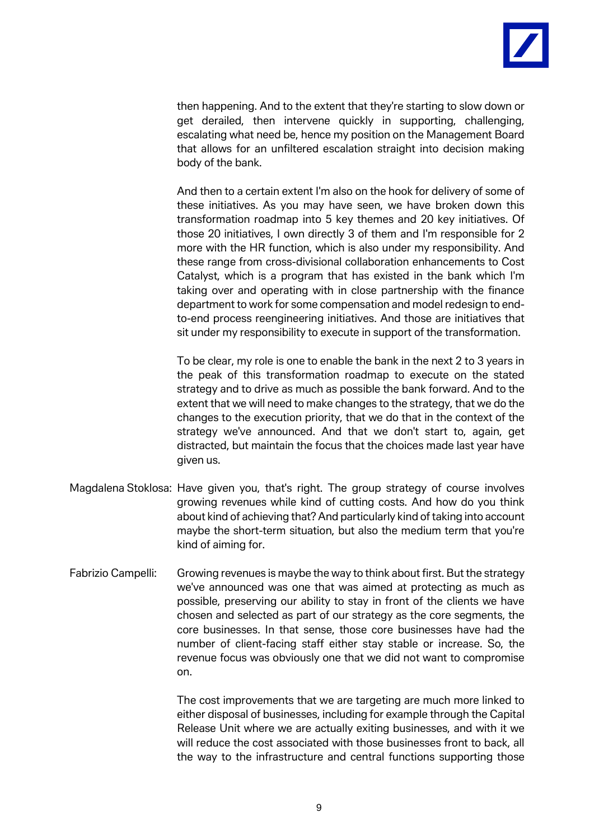

then happening. And to the extent that they're starting to slow down or get derailed, then intervene quickly in supporting, challenging, escalating what need be, hence my position on the Management Board that allows for an unfiltered escalation straight into decision making body of the bank.

And then to a certain extent I'm also on the hook for delivery of some of these initiatives. As you may have seen, we have broken down this transformation roadmap into 5 key themes and 20 key initiatives. Of those 20 initiatives, I own directly 3 of them and I'm responsible for 2 more with the HR function, which is also under my responsibility. And these range from cross-divisional collaboration enhancements to Cost Catalyst, which is a program that has existed in the bank which I'm taking over and operating with in close partnership with the finance department to work for some compensation and model redesign to endto-end process reengineering initiatives. And those are initiatives that sit under my responsibility to execute in support of the transformation.

To be clear, my role is one to enable the bank in the next 2 to 3 years in the peak of this transformation roadmap to execute on the stated strategy and to drive as much as possible the bank forward. And to the extent that we will need to make changes to the strategy, that we do the changes to the execution priority, that we do that in the context of the strategy we've announced. And that we don't start to, again, get distracted, but maintain the focus that the choices made last year have given us.

- Magdalena Stoklosa: Have given you, that's right. The group strategy of course involves growing revenues while kind of cutting costs. And how do you think about kind of achieving that? And particularly kind of taking into account maybe the short-term situation, but also the medium term that you're kind of aiming for.
- Fabrizio Campelli: Growing revenues is maybe the way to think about first. But the strategy we've announced was one that was aimed at protecting as much as possible, preserving our ability to stay in front of the clients we have chosen and selected as part of our strategy as the core segments, the core businesses. In that sense, those core businesses have had the number of client-facing staff either stay stable or increase. So, the revenue focus was obviously one that we did not want to compromise on.

The cost improvements that we are targeting are much more linked to either disposal of businesses, including for example through the Capital Release Unit where we are actually exiting businesses, and with it we will reduce the cost associated with those businesses front to back, all the way to the infrastructure and central functions supporting those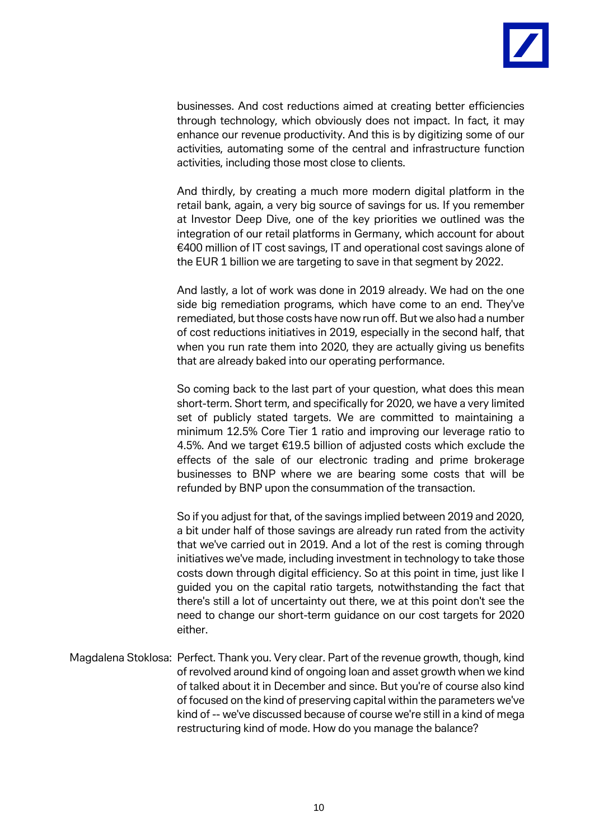

businesses. And cost reductions aimed at creating better efficiencies through technology, which obviously does not impact. In fact, it may enhance our revenue productivity. And this is by digitizing some of our activities, automating some of the central and infrastructure function activities, including those most close to clients.

And thirdly, by creating a much more modern digital platform in the retail bank, again, a very big source of savings for us. If you remember at Investor Deep Dive, one of the key priorities we outlined was the integration of our retail platforms in Germany, which account for about €400 million of IT cost savings, IT and operational cost savings alone of the EUR 1 billion we are targeting to save in that segment by 2022.

And lastly, a lot of work was done in 2019 already. We had on the one side big remediation programs, which have come to an end. They've remediated, but those costs have now run off. But we also had a number of cost reductions initiatives in 2019, especially in the second half, that when you run rate them into 2020, they are actually giving us benefits that are already baked into our operating performance.

So coming back to the last part of your question, what does this mean short-term. Short term, and specifically for 2020, we have a very limited set of publicly stated targets. We are committed to maintaining a minimum 12.5% Core Tier 1 ratio and improving our leverage ratio to 4.5%. And we target €19.5 billion of adjusted costs which exclude the effects of the sale of our electronic trading and prime brokerage businesses to BNP where we are bearing some costs that will be refunded by BNP upon the consummation of the transaction.

So if you adjust for that, of the savings implied between 2019 and 2020, a bit under half of those savings are already run rated from the activity that we've carried out in 2019. And a lot of the rest is coming through initiatives we've made, including investment in technology to take those costs down through digital efficiency. So at this point in time, just like I guided you on the capital ratio targets, notwithstanding the fact that there's still a lot of uncertainty out there, we at this point don't see the need to change our short-term guidance on our cost targets for 2020 either.

Magdalena Stoklosa: Perfect. Thank you. Very clear. Part of the revenue growth, though, kind of revolved around kind of ongoing loan and asset growth when we kind of talked about it in December and since. But you're of course also kind of focused on the kind of preserving capital within the parameters we've kind of -- we've discussed because of course we're still in a kind of mega restructuring kind of mode. How do you manage the balance?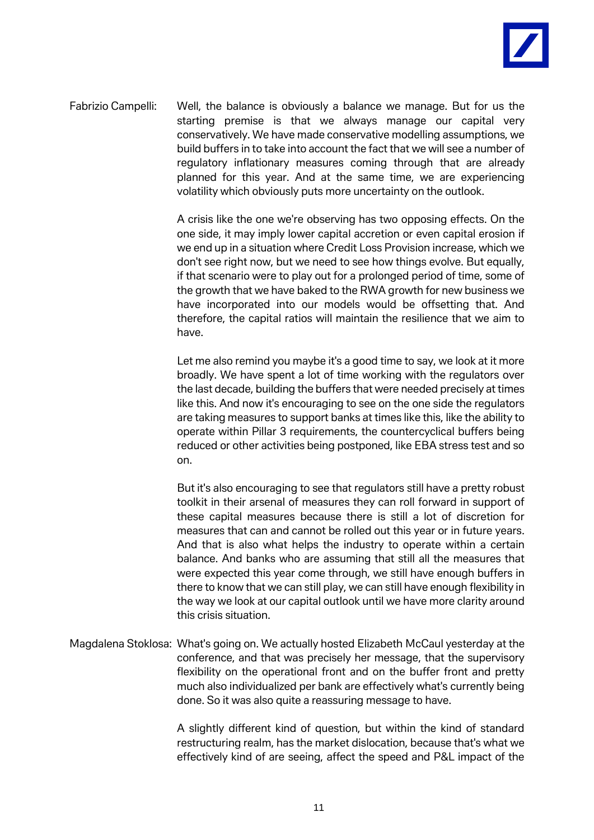

Fabrizio Campelli: Well, the balance is obviously a balance we manage. But for us the starting premise is that we always manage our capital very conservatively. We have made conservative modelling assumptions, we build buffers in to take into account the fact that we will see a number of regulatory inflationary measures coming through that are already planned for this year. And at the same time, we are experiencing volatility which obviously puts more uncertainty on the outlook.

> A crisis like the one we're observing has two opposing effects. On the one side, it may imply lower capital accretion or even capital erosion if we end up in a situation where Credit Loss Provision increase, which we don't see right now, but we need to see how things evolve. But equally, if that scenario were to play out for a prolonged period of time, some of the growth that we have baked to the RWA growth for new business we have incorporated into our models would be offsetting that. And therefore, the capital ratios will maintain the resilience that we aim to have.

> Let me also remind you maybe it's a good time to say, we look at it more broadly. We have spent a lot of time working with the regulators over the last decade, building the buffers that were needed precisely at times like this. And now it's encouraging to see on the one side the regulators are taking measures to support banks at times like this, like the ability to operate within Pillar 3 requirements, the countercyclical buffers being reduced or other activities being postponed, like EBA stress test and so on.

> But it's also encouraging to see that regulators still have a pretty robust toolkit in their arsenal of measures they can roll forward in support of these capital measures because there is still a lot of discretion for measures that can and cannot be rolled out this year or in future years. And that is also what helps the industry to operate within a certain balance. And banks who are assuming that still all the measures that were expected this year come through, we still have enough buffers in there to know that we can still play, we can still have enough flexibility in the way we look at our capital outlook until we have more clarity around this crisis situation.

Magdalena Stoklosa: What's going on. We actually hosted Elizabeth McCaul yesterday at the conference, and that was precisely her message, that the supervisory flexibility on the operational front and on the buffer front and pretty much also individualized per bank are effectively what's currently being done. So it was also quite a reassuring message to have.

> A slightly different kind of question, but within the kind of standard restructuring realm, has the market dislocation, because that's what we effectively kind of are seeing, affect the speed and P&L impact of the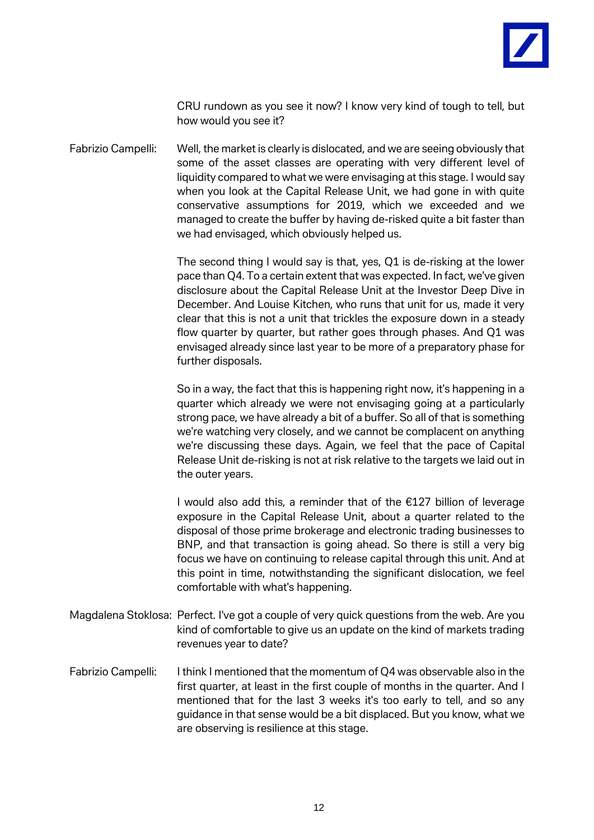

CRU rundown as you see it now? I know very kind of tough to tell, but how would you see it?

Fabrizio Campelli: Well, the market is clearly is dislocated, and we are seeing obviously that some of the asset classes are operating with very different level of liquidity compared to what we were envisaging at this stage. I would say when you look at the Capital Release Unit, we had gone in with quite conservative assumptions for 2019, which we exceeded and we managed to create the buffer by having de-risked quite a bit faster than we had envisaged, which obviously helped us.

> The second thing I would say is that, yes, Q1 is de-risking at the lower pace than Q4. To a certain extent that was expected. In fact, we've given disclosure about the Capital Release Unit at the Investor Deep Dive in December. And Louise Kitchen, who runs that unit for us, made it very clear that this is not a unit that trickles the exposure down in a steady flow quarter by quarter, but rather goes through phases. And Q1 was envisaged already since last year to be more of a preparatory phase for further disposals.

> So in a way, the fact that this is happening right now, it's happening in a quarter which already we were not envisaging going at a particularly strong pace, we have already a bit of a buffer. So all of that is something we're watching very closely, and we cannot be complacent on anything we're discussing these days. Again, we feel that the pace of Capital Release Unit de-risking is not at risk relative to the targets we laid out in the outer years.

> I would also add this, a reminder that of the €127 billion of leverage exposure in the Capital Release Unit, about a quarter related to the disposal of those prime brokerage and electronic trading businesses to BNP, and that transaction is going ahead. So there is still a very big focus we have on continuing to release capital through this unit. And at this point in time, notwithstanding the significant dislocation, we feel comfortable with what's happening.

- Magdalena Stoklosa: Perfect. I've got a couple of very quick questions from the web. Are you kind of comfortable to give us an update on the kind of markets trading revenues year to date?
- Fabrizio Campelli: I think I mentioned that the momentum of Q4 was observable also in the first quarter, at least in the first couple of months in the quarter. And I mentioned that for the last 3 weeks it's too early to tell, and so any guidance in that sense would be a bit displaced. But you know, what we are observing is resilience at this stage.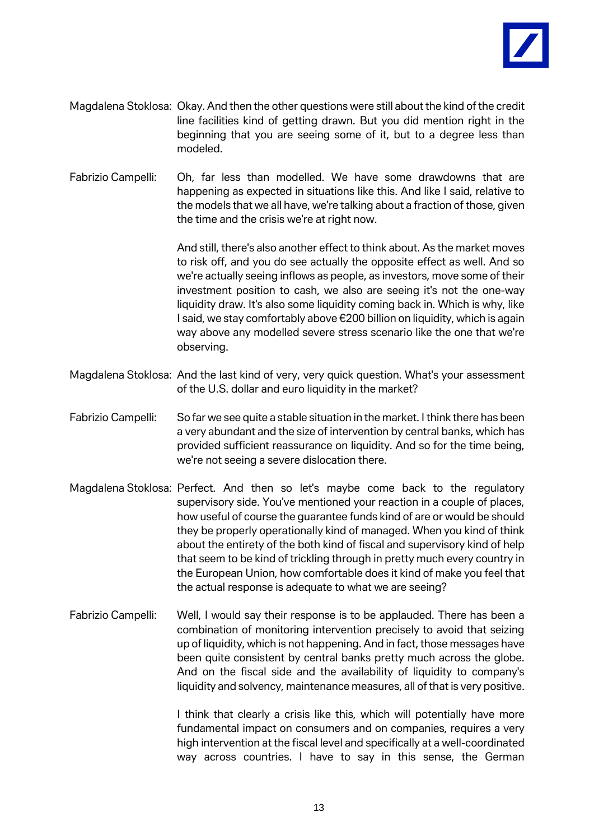

- Magdalena Stoklosa: Okay. And then the other questions were still about the kind of the credit line facilities kind of getting drawn. But you did mention right in the beginning that you are seeing some of it, but to a degree less than modeled.
- Fabrizio Campelli: Oh, far less than modelled. We have some drawdowns that are happening as expected in situations like this. And like I said, relative to the models that we all have, we're talking about a fraction of those, given the time and the crisis we're at right now.

And still, there's also another effect to think about. As the market moves to risk off, and you do see actually the opposite effect as well. And so we're actually seeing inflows as people, as investors, move some of their investment position to cash, we also are seeing it's not the one-way liquidity draw. It's also some liquidity coming back in. Which is why, like I said, we stay comfortably above €200 billion on liquidity, which is again way above any modelled severe stress scenario like the one that we're observing.

- Magdalena Stoklosa: And the last kind of very, very quick question. What's your assessment of the U.S. dollar and euro liquidity in the market?
- Fabrizio Campelli: So far we see quite a stable situation in the market. I think there has been a very abundant and the size of intervention by central banks, which has provided sufficient reassurance on liquidity. And so for the time being, we're not seeing a severe dislocation there.
- Magdalena Stoklosa: Perfect. And then so let's maybe come back to the regulatory supervisory side. You've mentioned your reaction in a couple of places, how useful of course the guarantee funds kind of are or would be should they be properly operationally kind of managed. When you kind of think about the entirety of the both kind of fiscal and supervisory kind of help that seem to be kind of trickling through in pretty much every country in the European Union, how comfortable does it kind of make you feel that the actual response is adequate to what we are seeing?
- Fabrizio Campelli: Well, I would say their response is to be applauded. There has been a combination of monitoring intervention precisely to avoid that seizing up of liquidity, which is not happening. And in fact, those messages have been quite consistent by central banks pretty much across the globe. And on the fiscal side and the availability of liquidity to company's liquidity and solvency, maintenance measures, all of that is very positive.

I think that clearly a crisis like this, which will potentially have more fundamental impact on consumers and on companies, requires a very high intervention at the fiscal level and specifically at a well-coordinated way across countries. I have to say in this sense, the German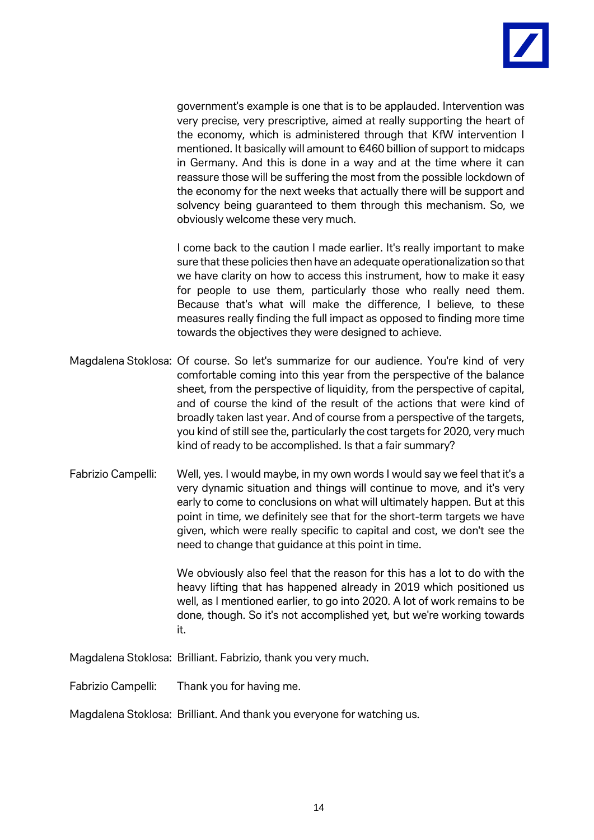

government's example is one that is to be applauded. Intervention was very precise, very prescriptive, aimed at really supporting the heart of the economy, which is administered through that KfW intervention I mentioned. It basically will amount to €460 billion of support to midcaps in Germany. And this is done in a way and at the time where it can reassure those will be suffering the most from the possible lockdown of the economy for the next weeks that actually there will be support and solvency being guaranteed to them through this mechanism. So, we obviously welcome these very much.

I come back to the caution I made earlier. It's really important to make sure that these policies then have an adequate operationalization so that we have clarity on how to access this instrument, how to make it easy for people to use them, particularly those who really need them. Because that's what will make the difference, I believe, to these measures really finding the full impact as opposed to finding more time towards the objectives they were designed to achieve.

- Magdalena Stoklosa: Of course. So let's summarize for our audience. You're kind of very comfortable coming into this year from the perspective of the balance sheet, from the perspective of liquidity, from the perspective of capital, and of course the kind of the result of the actions that were kind of broadly taken last year. And of course from a perspective of the targets, you kind of still see the, particularly the cost targets for 2020, very much kind of ready to be accomplished. Is that a fair summary?
- Fabrizio Campelli: Well, yes. I would maybe, in my own words I would say we feel that it's a very dynamic situation and things will continue to move, and it's very early to come to conclusions on what will ultimately happen. But at this point in time, we definitely see that for the short-term targets we have given, which were really specific to capital and cost, we don't see the need to change that guidance at this point in time.

We obviously also feel that the reason for this has a lot to do with the heavy lifting that has happened already in 2019 which positioned us well, as I mentioned earlier, to go into 2020. A lot of work remains to be done, though. So it's not accomplished yet, but we're working towards it.

Magdalena Stoklosa: Brilliant. Fabrizio, thank you very much.

Fabrizio Campelli: Thank you for having me.

Magdalena Stoklosa: Brilliant. And thank you everyone for watching us.